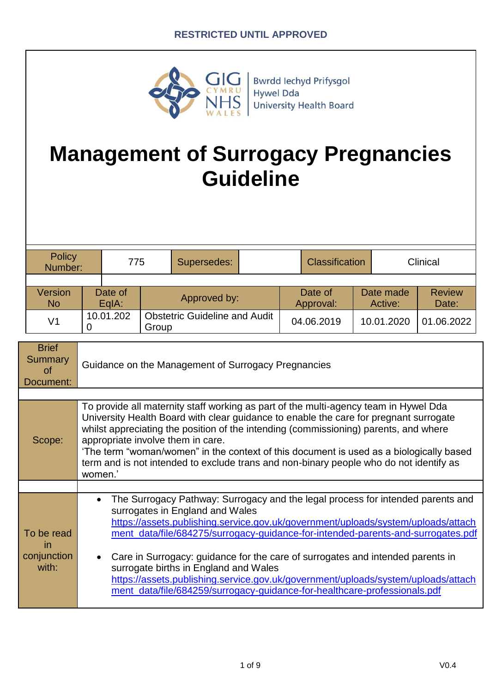

**Bwrdd lechyd Prifysgol Hywel Dda University Health Board** 

# **Management of Surrogacy Pregnancies Guideline**

| Policy<br>Number:           |           | 775              |              | Supersedes:                          |  |                      | <b>Classification</b> |                      | Clinical               |            |
|-----------------------------|-----------|------------------|--------------|--------------------------------------|--|----------------------|-----------------------|----------------------|------------------------|------------|
|                             |           |                  |              |                                      |  |                      |                       |                      |                        |            |
| <b>Version</b><br><b>No</b> |           | Date of<br>EgIA: | Approved by: |                                      |  | Date of<br>Approval: |                       | Date made<br>Active: | <b>Review</b><br>Date: |            |
| V <sub>1</sub>              | 10.01.202 |                  | Group        | <b>Obstetric Guideline and Audit</b> |  |                      | 04.06.2019            |                      | 10.01.2020             | 01.06.2022 |

| <b>Brief</b><br><b>Summary</b><br>of<br>Document: | Guidance on the Management of Surrogacy Pregnancies                                                                                                                                                                                                                                                                                                                                                                                                                                                                                                                                                   |  |  |
|---------------------------------------------------|-------------------------------------------------------------------------------------------------------------------------------------------------------------------------------------------------------------------------------------------------------------------------------------------------------------------------------------------------------------------------------------------------------------------------------------------------------------------------------------------------------------------------------------------------------------------------------------------------------|--|--|
|                                                   |                                                                                                                                                                                                                                                                                                                                                                                                                                                                                                                                                                                                       |  |  |
| Scope:                                            | To provide all maternity staff working as part of the multi-agency team in Hywel Dda<br>University Health Board with clear guidance to enable the care for pregnant surrogate<br>whilst appreciating the position of the intending (commissioning) parents, and where<br>appropriate involve them in care.<br>'The term "woman/women" in the context of this document is used as a biologically based<br>term and is not intended to exclude trans and non-binary people who do not identify as<br>women.'                                                                                            |  |  |
|                                                   |                                                                                                                                                                                                                                                                                                                                                                                                                                                                                                                                                                                                       |  |  |
| To be read<br><i>in</i><br>conjunction<br>with:   | The Surrogacy Pathway: Surrogacy and the legal process for intended parents and<br>$\bullet$<br>surrogates in England and Wales<br>https://assets.publishing.service.gov.uk/government/uploads/system/uploads/attach<br>ment_data/file/684275/surrogacy-guidance-for-intended-parents-and-surrogates.pdf<br>Care in Surrogacy: guidance for the care of surrogates and intended parents in<br>surrogate births in England and Wales<br>https://assets.publishing.service.gov.uk/government/uploads/system/uploads/attach<br>ment_data/file/684259/surrogacy-guidance-for-healthcare-professionals.pdf |  |  |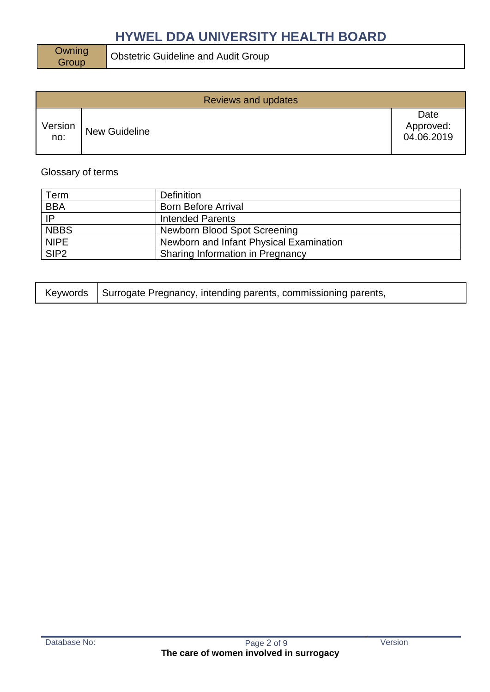Owning<br>Group

Obstetric Guideline and Audit Group

|                | Reviews and updates  |                                 |  |  |  |
|----------------|----------------------|---------------------------------|--|--|--|
| Version<br>no: | <b>New Guideline</b> | Date<br>Approved:<br>04.06.2019 |  |  |  |

### Glossary of terms

| Term        | <b>Definition</b>                       |
|-------------|-----------------------------------------|
| <b>BBA</b>  | <b>Born Before Arrival</b>              |
| IP          | <b>Intended Parents</b>                 |
| <b>NBBS</b> | Newborn Blood Spot Screening            |
| <b>NIPE</b> | Newborn and Infant Physical Examination |
| SIP2        | Sharing Information in Pregnancy        |

|  | Keywords   Surrogate Pregnancy, intending parents, commissioning parents, |  |
|--|---------------------------------------------------------------------------|--|
|--|---------------------------------------------------------------------------|--|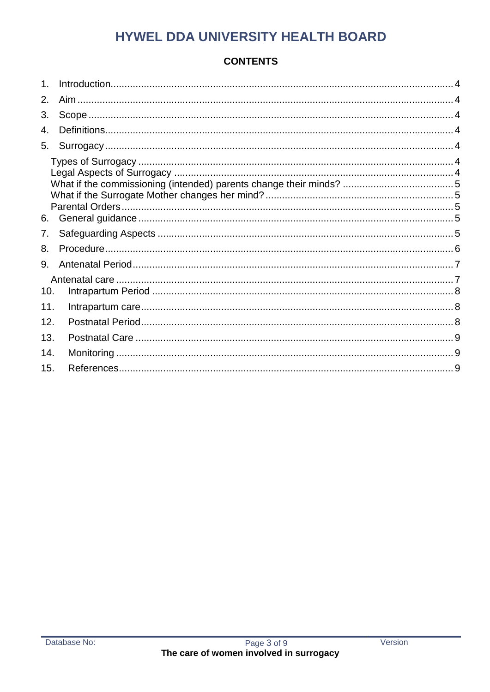# **CONTENTS**

| 2.  |  |
|-----|--|
| 3.  |  |
| 4.  |  |
| 5.  |  |
|     |  |
|     |  |
|     |  |
| 6.  |  |
| 7.  |  |
| 8.  |  |
| 9.  |  |
| 10. |  |
| 11. |  |
| 12. |  |
| 13. |  |
| 14. |  |
| 15. |  |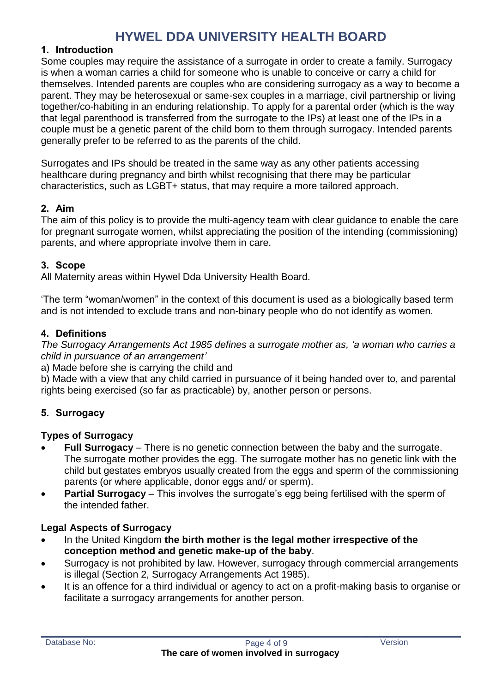#### <span id="page-3-0"></span>**1. Introduction**

Some couples may require the assistance of a surrogate in order to create a family. Surrogacy is when a woman carries a child for someone who is unable to conceive or carry a child for themselves. Intended parents are couples who are considering surrogacy as a way to become a parent. They may be heterosexual or same-sex couples in a marriage, civil partnership or living together/co-habiting in an enduring relationship. To apply for a parental order (which is the way that legal parenthood is transferred from the surrogate to the IPs) at least one of the IPs in a couple must be a genetic parent of the child born to them through surrogacy. Intended parents generally prefer to be referred to as the parents of the child.

Surrogates and IPs should be treated in the same way as any other patients accessing healthcare during pregnancy and birth whilst recognising that there may be particular characteristics, such as LGBT+ status, that may require a more tailored approach.

#### <span id="page-3-1"></span>**2. Aim**

The aim of this policy is to provide the multi-agency team with clear guidance to enable the care for pregnant surrogate women, whilst appreciating the position of the intending (commissioning) parents, and where appropriate involve them in care.

#### <span id="page-3-2"></span>**3. Scope**

All Maternity areas within Hywel Dda University Health Board.

'The term "woman/women" in the context of this document is used as a biologically based term and is not intended to exclude trans and non-binary people who do not identify as women.

#### <span id="page-3-3"></span>**4. Definitions**

*The Surrogacy Arrangements Act 1985 defines a surrogate mother as, 'a woman who carries a child in pursuance of an arrangement'*

a) Made before she is carrying the child and

b) Made with a view that any child carried in pursuance of it being handed over to, and parental rights being exercised (so far as practicable) by, another person or persons.

#### <span id="page-3-4"></span>**5. Surrogacy**

#### <span id="page-3-5"></span>**Types of Surrogacy**

- **Full Surrogacy** There is no genetic connection between the baby and the surrogate. The surrogate mother provides the egg. The surrogate mother has no genetic link with the child but gestates embryos usually created from the eggs and sperm of the commissioning parents (or where applicable, donor eggs and/ or sperm).
- **Partial Surrogacy** This involves the surrogate's egg being fertilised with the sperm of the intended father.

#### <span id="page-3-6"></span>**Legal Aspects of Surrogacy**

- In the United Kingdom **the birth mother is the legal mother irrespective of the conception method and genetic make-up of the baby**.
- Surrogacy is not prohibited by law. However, surrogacy through commercial arrangements is illegal (Section 2, Surrogacy Arrangements Act 1985).
- It is an offence for a third individual or agency to act on a profit-making basis to organise or facilitate a surrogacy arrangements for another person.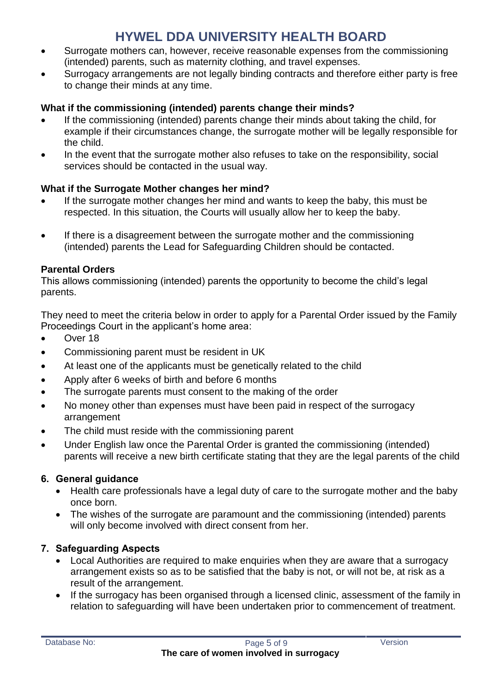- Surrogate mothers can, however, receive reasonable expenses from the commissioning (intended) parents, such as maternity clothing, and travel expenses.
- Surrogacy arrangements are not legally binding contracts and therefore either party is free to change their minds at any time.

### <span id="page-4-0"></span>**What if the commissioning (intended) parents change their minds?**

- If the commissioning (intended) parents change their minds about taking the child, for example if their circumstances change, the surrogate mother will be legally responsible for the child.
- In the event that the surrogate mother also refuses to take on the responsibility, social services should be contacted in the usual way.

### <span id="page-4-1"></span>**What if the Surrogate Mother changes her mind?**

- If the surrogate mother changes her mind and wants to keep the baby, this must be respected. In this situation, the Courts will usually allow her to keep the baby.
- If there is a disagreement between the surrogate mother and the commissioning (intended) parents the Lead for Safeguarding Children should be contacted.

### <span id="page-4-2"></span>**Parental Orders**

This allows commissioning (intended) parents the opportunity to become the child's legal parents.

They need to meet the criteria below in order to apply for a Parental Order issued by the Family Proceedings Court in the applicant's home area:

- Over 18
- Commissioning parent must be resident in UK
- At least one of the applicants must be genetically related to the child
- Apply after 6 weeks of birth and before 6 months
- The surrogate parents must consent to the making of the order
- No money other than expenses must have been paid in respect of the surrogacy arrangement
- The child must reside with the commissioning parent
- Under English law once the Parental Order is granted the commissioning (intended) parents will receive a new birth certificate stating that they are the legal parents of the child

### <span id="page-4-3"></span>**6. General guidance**

- Health care professionals have a legal duty of care to the surrogate mother and the baby once born.
- The wishes of the surrogate are paramount and the commissioning (intended) parents will only become involved with direct consent from her.

# <span id="page-4-4"></span>**7. Safeguarding Aspects**

- Local Authorities are required to make enquiries when they are aware that a surrogacy arrangement exists so as to be satisfied that the baby is not, or will not be, at risk as a result of the arrangement.
- If the surrogacy has been organised through a licensed clinic, assessment of the family in relation to safeguarding will have been undertaken prior to commencement of treatment.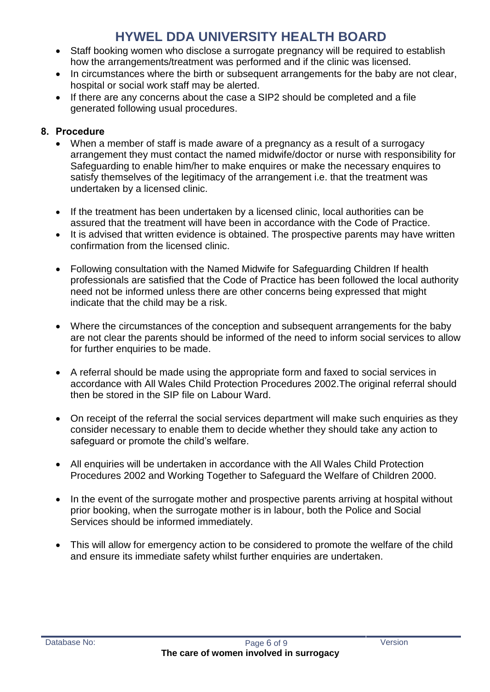- Staff booking women who disclose a surrogate pregnancy will be required to establish how the arrangements/treatment was performed and if the clinic was licensed.
- In circumstances where the birth or subsequent arrangements for the baby are not clear, hospital or social work staff may be alerted.
- If there are any concerns about the case a SIP2 should be completed and a file generated following usual procedures.

### <span id="page-5-0"></span>**8. Procedure**

- When a member of staff is made aware of a pregnancy as a result of a surrogacy arrangement they must contact the named midwife/doctor or nurse with responsibility for Safeguarding to enable him/her to make enquires or make the necessary enquires to satisfy themselves of the legitimacy of the arrangement i.e. that the treatment was undertaken by a licensed clinic.
- If the treatment has been undertaken by a licensed clinic, local authorities can be assured that the treatment will have been in accordance with the Code of Practice.
- It is advised that written evidence is obtained. The prospective parents may have written confirmation from the licensed clinic.
- Following consultation with the Named Midwife for Safeguarding Children If health professionals are satisfied that the Code of Practice has been followed the local authority need not be informed unless there are other concerns being expressed that might indicate that the child may be a risk.
- Where the circumstances of the conception and subsequent arrangements for the baby are not clear the parents should be informed of the need to inform social services to allow for further enquiries to be made.
- A referral should be made using the appropriate form and faxed to social services in accordance with All Wales Child Protection Procedures 2002.The original referral should then be stored in the SIP file on Labour Ward.
- On receipt of the referral the social services department will make such enquiries as they consider necessary to enable them to decide whether they should take any action to safeguard or promote the child's welfare.
- All enquiries will be undertaken in accordance with the All Wales Child Protection Procedures 2002 and Working Together to Safeguard the Welfare of Children 2000.
- In the event of the surrogate mother and prospective parents arriving at hospital without prior booking, when the surrogate mother is in labour, both the Police and Social Services should be informed immediately.
- This will allow for emergency action to be considered to promote the welfare of the child and ensure its immediate safety whilst further enquiries are undertaken.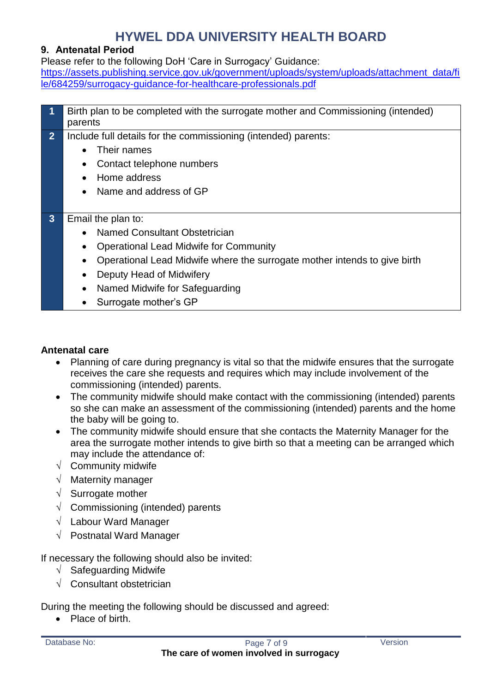#### <span id="page-6-0"></span>**9. Antenatal Period**

Please refer to the following DoH 'Care in Surrogacy' Guidance: [https://assets.publishing.service.gov.uk/government/uploads/system/uploads/attachment\\_data/fi](https://assets.publishing.service.gov.uk/government/uploads/system/uploads/attachment_data/file/684259/surrogacy-guidance-for-healthcare-professionals.pdf) [le/684259/surrogacy-guidance-for-healthcare-professionals.pdf](https://assets.publishing.service.gov.uk/government/uploads/system/uploads/attachment_data/file/684259/surrogacy-guidance-for-healthcare-professionals.pdf)

|                | Birth plan to be completed with the surrogate mother and Commissioning (intended)      |  |  |  |  |
|----------------|----------------------------------------------------------------------------------------|--|--|--|--|
|                | parents                                                                                |  |  |  |  |
| 2 <sup>2</sup> | Include full details for the commissioning (intended) parents:                         |  |  |  |  |
|                | Their names<br>$\bullet$                                                               |  |  |  |  |
|                | Contact telephone numbers<br>$\bullet$                                                 |  |  |  |  |
|                | Home address                                                                           |  |  |  |  |
|                | Name and address of GP<br>$\bullet$                                                    |  |  |  |  |
|                |                                                                                        |  |  |  |  |
| 3 <sup>1</sup> | Email the plan to:                                                                     |  |  |  |  |
|                | <b>Named Consultant Obstetrician</b><br>$\bullet$                                      |  |  |  |  |
|                | <b>Operational Lead Midwife for Community</b>                                          |  |  |  |  |
|                | Operational Lead Midwife where the surrogate mother intends to give birth<br>$\bullet$ |  |  |  |  |
|                | Deputy Head of Midwifery                                                               |  |  |  |  |
|                | Named Midwife for Safeguarding<br>$\bullet$                                            |  |  |  |  |
|                | Surrogate mother's GP                                                                  |  |  |  |  |

#### <span id="page-6-1"></span>**Antenatal care**

- Planning of care during pregnancy is vital so that the midwife ensures that the surrogate receives the care she requests and requires which may include involvement of the commissioning (intended) parents.
- The community midwife should make contact with the commissioning (intended) parents so she can make an assessment of the commissioning (intended) parents and the home the baby will be going to.
- The community midwife should ensure that she contacts the Maternity Manager for the area the surrogate mother intends to give birth so that a meeting can be arranged which may include the attendance of:
- $\sqrt{\phantom{a}}$  Community midwife
- $\sqrt{\phantom{a}}$  Maternity manager
- $\sqrt{\phantom{a}}$  Surrogate mother
- $\sqrt{\phantom{a}}$  Commissioning (intended) parents
- $\sqrt{\phantom{a}}$  Labour Ward Manager
- $\sqrt{ }$  Postnatal Ward Manager

If necessary the following should also be invited:

- $\sqrt{\phantom{a}}$  Safeguarding Midwife
- $\sqrt{\phantom{a}}$  Consultant obstetrician

During the meeting the following should be discussed and agreed:

• Place of birth.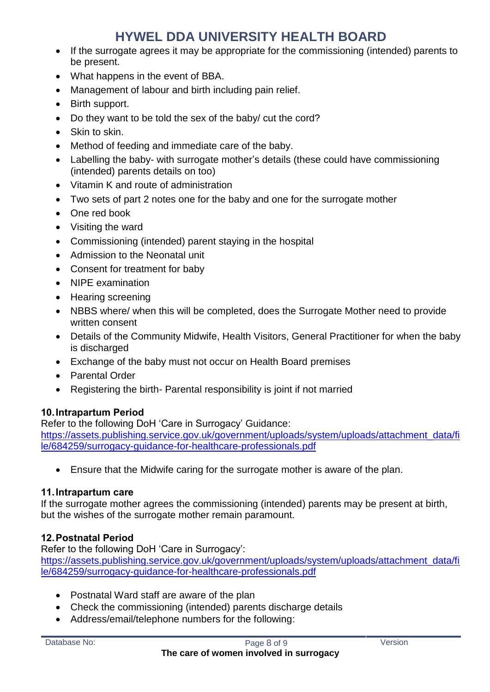- If the surrogate agrees it may be appropriate for the commissioning (intended) parents to be present.
- What happens in the event of BBA.
- Management of labour and birth including pain relief.
- Birth support.
- Do they want to be told the sex of the baby/ cut the cord?
- Skin to skin.
- Method of feeding and immediate care of the baby.
- Labelling the baby- with surrogate mother's details (these could have commissioning (intended) parents details on too)
- Vitamin K and route of administration
- Two sets of part 2 notes one for the baby and one for the surrogate mother
- One red book
- Visiting the ward
- Commissioning (intended) parent staying in the hospital
- Admission to the Neonatal unit
- Consent for treatment for baby
- NIPE examination
- Hearing screening
- NBBS where/ when this will be completed, does the Surrogate Mother need to provide written consent
- Details of the Community Midwife, Health Visitors, General Practitioner for when the baby is discharged
- Exchange of the baby must not occur on Health Board premises
- Parental Order
- Registering the birth- Parental responsibility is joint if not married

### <span id="page-7-0"></span>**10.Intrapartum Period**

Refer to the following DoH 'Care in Surrogacy' Guidance: [https://assets.publishing.service.gov.uk/government/uploads/system/uploads/attachment\\_data/fi](https://assets.publishing.service.gov.uk/government/uploads/system/uploads/attachment_data/file/684259/surrogacy-guidance-for-healthcare-professionals.pdf) [le/684259/surrogacy-guidance-for-healthcare-professionals.pdf](https://assets.publishing.service.gov.uk/government/uploads/system/uploads/attachment_data/file/684259/surrogacy-guidance-for-healthcare-professionals.pdf)

Ensure that the Midwife caring for the surrogate mother is aware of the plan.

### <span id="page-7-1"></span>**11.Intrapartum care**

If the surrogate mother agrees the commissioning (intended) parents may be present at birth, but the wishes of the surrogate mother remain paramount.

# <span id="page-7-2"></span>**12.Postnatal Period**

Refer to the following DoH 'Care in Surrogacy': [https://assets.publishing.service.gov.uk/government/uploads/system/uploads/attachment\\_data/fi](https://assets.publishing.service.gov.uk/government/uploads/system/uploads/attachment_data/file/684259/surrogacy-guidance-for-healthcare-professionals.pdf) [le/684259/surrogacy-guidance-for-healthcare-professionals.pdf](https://assets.publishing.service.gov.uk/government/uploads/system/uploads/attachment_data/file/684259/surrogacy-guidance-for-healthcare-professionals.pdf)

- Postnatal Ward staff are aware of the plan
- Check the commissioning (intended) parents discharge details
- Address/email/telephone numbers for the following: